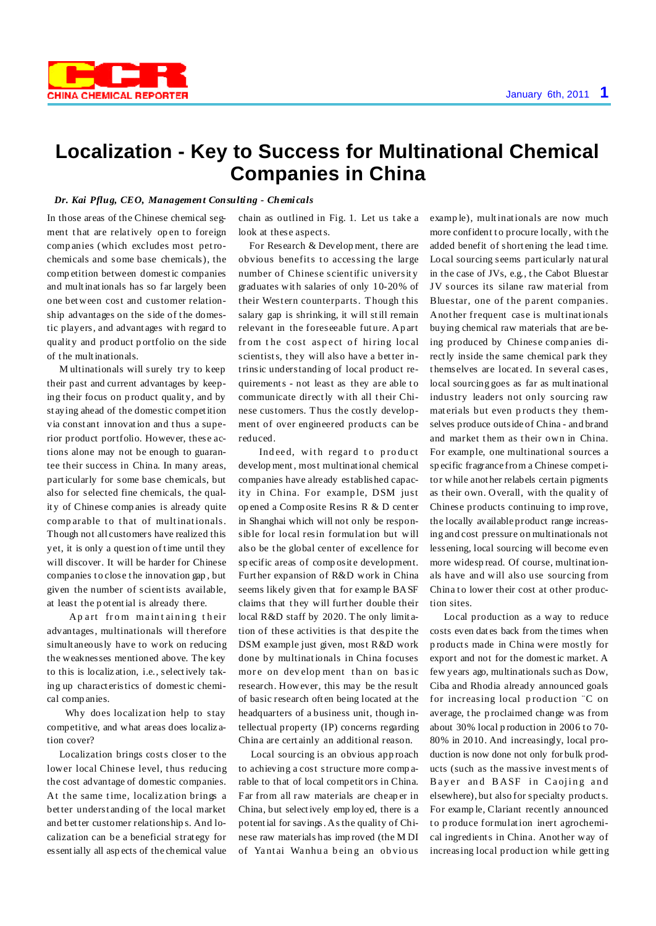

## **Localization - Key to Success for Multinational Chemical Companies in China**

## *Dr. Kai Pflug, CEO, Management Consulting - Chemi cals*

In those areas of the Chinese chemical segment that are relatively open to foreign comp anies (which excludes most petrochemicals and some base chemicals), the comp etition between domestic companies and multinationals has so far largely been one between cost and customer relationship advantages on the side of the domestic players, and advant ages wit h regard to qualit y and product p ortfolio on the side of t he multinationals.

M ultinationals will surely try to keep their past and current advantages by keeping their focus on p roduct qualit y, and by st aying ahead of the domestic competition via constant innovation and thus a superior product portfolio. However, these actions alone may not be enough to guarantee their success in China. In many areas, particularly for some base chemicals, but also for selected fine chemicals, the qualit y of Chinese comp anies is already quite comparable to that of multinationals. Though not all customers have realized this yet, it is only a question of time until they will discover. It will be harder for Chinese companies t o close t he innovation gap , but given the number of scientists available, at least the p ot ential is already there.

Ap art from maintaining their advantages, multinationals will therefore simult aneously have to work on reducing the weaknesses mentioned above. The key to this is localiz ation, i.e., selectively taking up charact eristics of domestic chemical comp anies.

Why does localization help to stay competitive, and what areas does localiz ation cover?

Localization brings costs closer to the lower local Chinese level, thus reducing the cost advantage of domestic companies. At the same time, localization brings a better underst anding of the local market and better customer relationship s. And localization can be a beneficial strat egy for essentially all asp ects of the chemical value chain as outlined in Fig. 1. Let us take a look at these aspects.

For Research & Develop ment, t here are obvious benefits to accessing the large number of Chinese scientific universit y graduates wit h salaries of only 10-20% of their Western counterparts. Though this salary gap is shrinking, it will still remain relevant in the foreseeable fut ure. Ap art from the cost aspect of hiring local scientists, t hey will also have a better intrinsic understanding of local product requirements - not least as they are able to communicate directly with all their Chinese customers. Thus the costly development of over engineered products can be reduced.

Indeed, with regard to product develop ment, most multinational chemical companies have already established capacity in China. For example, DSM just op ened a Comp osite Resins R & D cent er in Shanghai which will not only be responsible for local resin formulation but will also be the global center of excellence for specific areas of composite development. Furt her expansion of R&D work in China seems likely given that for examp le BASF claims that they will further double their local R&D staff by 2020. The only limit ation of these activities is that despite the DSM example just given, most R&D work done by multinationals in China focuses more on development than on basic research. However, this may be the result of basic research oft en being located at t he headquarters of a business unit, though intellectual property (IP) concerns regarding China are cert ainly an additional reason.

Local sourcing is an obvious app roach to achieving a cost structure more comp arable to that of local competit ors in China. Far from all raw materials are cheap er in China, but selectively emp loy ed, there is a potential for savings. Asthe quality of Chinese raw materials has imp roved (the M DI of Yantai Wanhua being an obvious

examp le), multinationals are now much more confident to procure locally, with the added benefit of short ening t he lead time. Local sourcing seems particularly nat ural in the case of JVs, e.g., t he Cabot Bluest ar JV sources its silane raw material from Bluestar, one of the parent companies. Anot her frequent case is multinationals buying chemical raw materials that are being produced by Chinese comp anies directly inside the same chemical park they t hemselves are locat ed. In several cases, local sourcing goes as far as multinational industry leaders not only sourcing raw materials but even products they themselves produce outside of China - and brand and market them as their own in China. For example, one multinational sources a sp ecific fragrance from a Chinese competitor while anot her relabels certain pigments as their own. Overall, with the quality of Chinese products continuing to imp rove, the locally available product range increasing and cost pressure on multinationals not lessening, local sourcing will become even more widesp read. Of course, multinationals have and will also use sourcing from China to lower their cost at other production sites.

Local production as a way to reduce costs even dat es back from the times when p roducts made in China were mostly for export and not for the domestic market. A few years ago, multinationals such as Dow, Ciba and Rhodia already announced goals for increasing local production "C on average, t he p roclaimed change was from about 30% local production in 2006 to 70-80% in 2010. And increasingly, local production is now done not only for bulk products (such as the massive investments of Bayer and BASF in Caojing and elsewhere), but also for specialty products. For examp le, Clariant recently announced to produce formulation inert agrochemical ingredients in China. Anot her way of increasing local production while getting